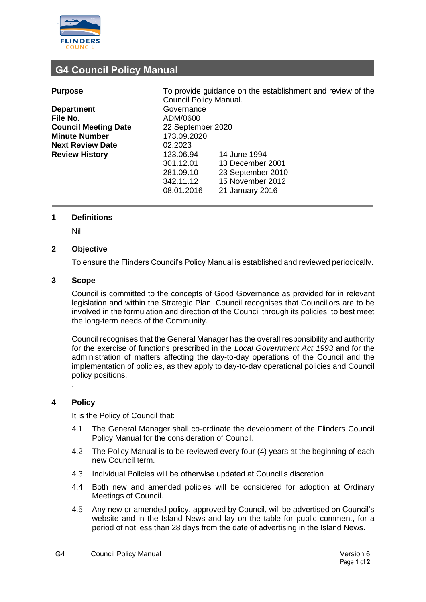

# **G4 Council Policy Manual**

| <b>Purpose</b>              | To provide guidance on the establishment and review of the<br>Council Policy Manual. |                   |  |
|-----------------------------|--------------------------------------------------------------------------------------|-------------------|--|
| <b>Department</b>           | Governance                                                                           |                   |  |
| File No.                    | ADM/0600                                                                             |                   |  |
| <b>Council Meeting Date</b> | 22 September 2020                                                                    |                   |  |
| <b>Minute Number</b>        | 173.09.2020                                                                          |                   |  |
| <b>Next Review Date</b>     | 02.2023                                                                              |                   |  |
| <b>Review History</b>       | 123.06.94                                                                            | 14 June 1994      |  |
|                             | 301.12.01                                                                            | 13 December 2001  |  |
|                             | 281.09.10                                                                            | 23 September 2010 |  |
|                             | 342.11.12                                                                            | 15 November 2012  |  |
|                             | 08.01.2016                                                                           | 21 January 2016   |  |

# **1 Definitions**

Nil

# **2 Objective**

To ensure the Flinders Council's Policy Manual is established and reviewed periodically.

### **3 Scope**

Council is committed to the concepts of Good Governance as provided for in relevant legislation and within the Strategic Plan. Council recognises that Councillors are to be involved in the formulation and direction of the Council through its policies, to best meet the long-term needs of the Community.

Council recognises that the General Manager has the overall responsibility and authority for the exercise of functions prescribed in the *Local Government Act 1993* and for the administration of matters affecting the day-to-day operations of the Council and the implementation of policies, as they apply to day-to-day operational policies and Council policy positions.

#### **4 Policy**

.

It is the Policy of Council that:

- 4.1 The General Manager shall co-ordinate the development of the Flinders Council Policy Manual for the consideration of Council.
- 4.2 The Policy Manual is to be reviewed every four (4) years at the beginning of each new Council term.
- 4.3 Individual Policies will be otherwise updated at Council's discretion.
- 4.4 Both new and amended policies will be considered for adoption at Ordinary Meetings of Council.
- 4.5 Any new or amended policy, approved by Council, will be advertised on Council's website and in the Island News and lay on the table for public comment, for a period of not less than 28 days from the date of advertising in the Island News.